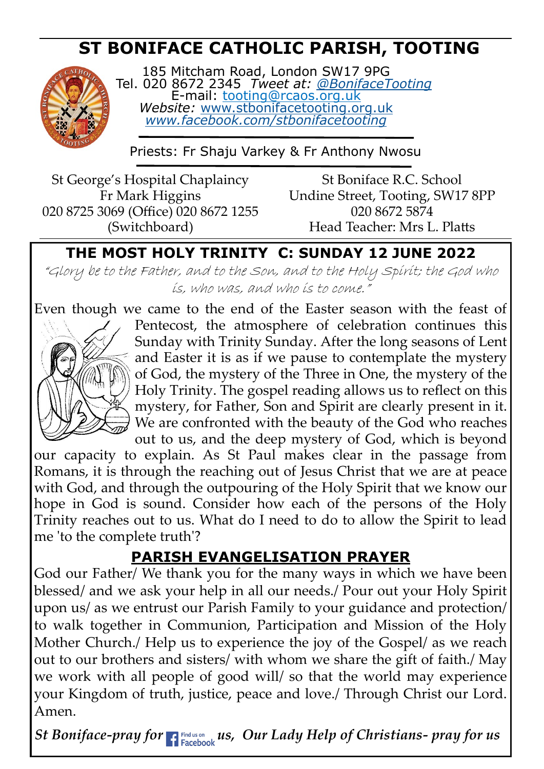# **ST BONIFACE CATHOLIC PARISH, TOOTING**



185 Mitcham Road, London SW17 9PG Tel. 020 8672 2345 *Tweet at: [@BonifaceTooting](http://twitter.com/bonifacetooting)* E-mail: tooting@rcaos.org.uk *Website:* [www.stbonifacetooting.org.uk](http://www.stbonifacetooting.org.uk) *[www.facebook.com/stbonifacetooting](http://www.facebook.com/stbonifacetooting)*

Priests: Fr Shaju Varkey & Fr Anthony Nwosu

St George's Hospital Chaplaincy Fr Mark Higgins 020 8725 3069 (Office) 020 8672 1255 (Switchboard)

St Boniface R.C. School Undine Street, Tooting, SW17 8PP 020 8672 5874 Head Teacher: Mrs L. Platts

## **THE MOST HOLY TRINITY C: SUNDAY 12 JUNE 2022**

"Glory be to the Father, and to the Son, and to the Holy Spirit; the God who is, who was, and who is to come."

Even though we came to the end of the Easter season with the feast of Pentecost, the atmosphere of celebration continues this



Sunday with Trinity Sunday. After the long seasons of Lent and Easter it is as if we pause to contemplate the mystery of God, the mystery of the Three in One, the mystery of the Holy Trinity. The gospel reading allows us to reflect on this mystery, for Father, Son and Spirit are clearly present in it. We are confronted with the beauty of the God who reaches out to us, and the deep mystery of God, which is beyond

our capacity to explain. As St Paul makes clear in the passage from Romans, it is through the reaching out of Jesus Christ that we are at peace with God, and through the outpouring of the Holy Spirit that we know our hope in God is sound. Consider how each of the persons of the Holy Trinity reaches out to us. What do I need to do to allow the Spirit to lead me 'to the complete truth'?

#### **PARISH EVANGELISATION PRAYER**

God our Father/ We thank you for the many ways in which we have been blessed/ and we ask your help in all our needs./ Pour out your Holy Spirit upon us/ as we entrust our Parish Family to your guidance and protection/ to walk together in Communion, Participation and Mission of the Holy Mother Church./ Help us to experience the joy of the Gospel/ as we reach out to our brothers and sisters/ with whom we share the gift of faith./ May we work with all people of good will/ so that the world may experience your Kingdom of truth, justice, peace and love./ Through Christ our Lord. Amen.

*St Boniface-pray for*  $\left| \cdot \right|$  Facebook us, Our Lady Help of Christians- pray for us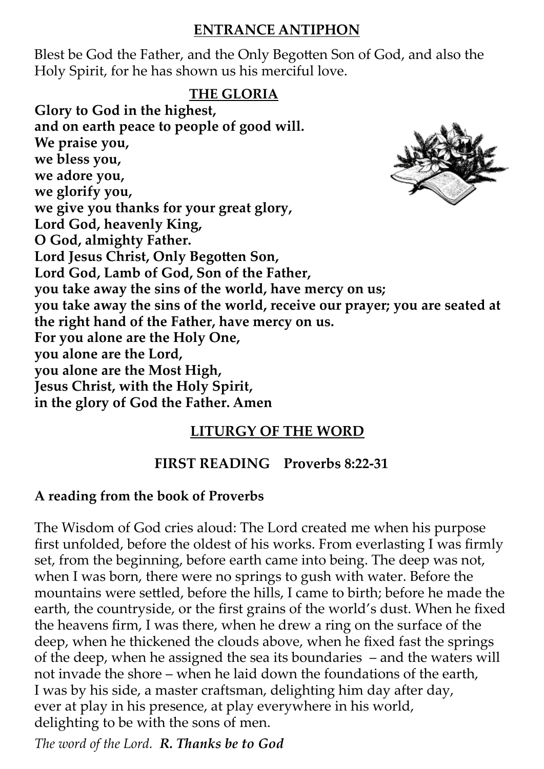### **ENTRANCE ANTIPHON**

Blest be God the Father, and the Only Begotten Son of God, and also the Holy Spirit, for he has shown us his merciful love.

#### **THE GLORIA**

**Glory to God in the highest, and on earth peace to people of good will. We praise you, we bless you, we adore you, we glorify you, we give you thanks for your great glory, Lord God, heavenly King, O God, almighty Father. Lord Jesus Christ, Only Begotten Son, Lord God, Lamb of God, Son of the Father, you take away the sins of the world, have mercy on us; you take away the sins of the world, receive our prayer; you are seated at the right hand of the Father, have mercy on us. For you alone are the Holy One, you alone are the Lord, you alone are the Most High, Jesus Christ, with the Holy Spirit, in the glory of God the Father. Amen** 

#### **LITURGY OF THE WORD**

#### **FIRST READING Proverbs 8:22-31**

#### **A reading from the book of Proverbs**

The Wisdom of God cries aloud: The Lord created me when his purpose first unfolded, before the oldest of his works. From everlasting I was firmly set, from the beginning, before earth came into being. The deep was not, when I was born, there were no springs to gush with water. Before the mountains were settled, before the hills, I came to birth; before he made the earth, the countryside, or the first grains of the world's dust. When he fixed the heavens firm, I was there, when he drew a ring on the surface of the deep, when he thickened the clouds above, when he fixed fast the springs of the deep, when he assigned the sea its boundaries – and the waters will not invade the shore – when he laid down the foundations of the earth, I was by his side, a master craftsman, delighting him day after day, ever at play in his presence, at play everywhere in his world, delighting to be with the sons of men.

*The word of the Lord. R. Thanks be to God*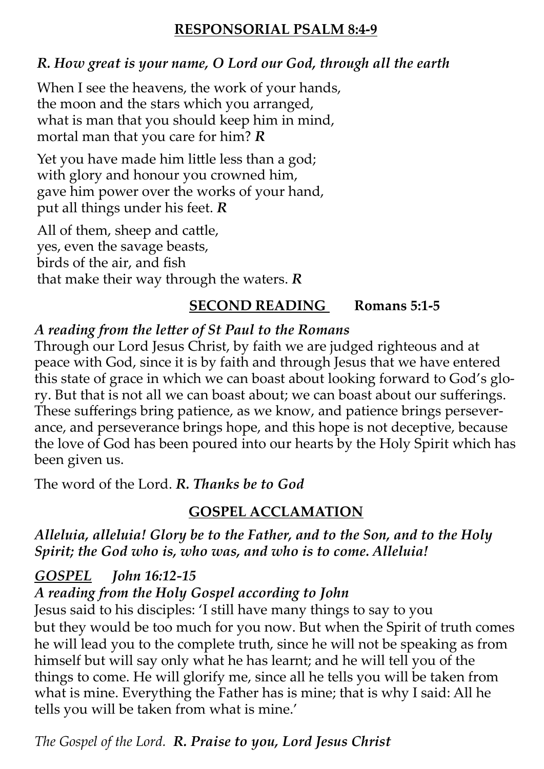### **RESPONSORIAL PSALM 8:4-9**

## *R. How great is your name, O Lord our God, through all the earth*

When I see the heavens, the work of your hands, the moon and the stars which you arranged, what is man that you should keep him in mind, mortal man that you care for him? *R*

Yet you have made him little less than a god; with glory and honour you crowned him, gave him power over the works of your hand, put all things under his feet. *R*

All of them, sheep and cattle, yes, even the savage beasts, birds of the air, and fish that make their way through the waters. *R*

## **SECOND READING Romans 5:1-5**

## *A reading from the letter of St Paul to the Romans*

Through our Lord Jesus Christ, by faith we are judged righteous and at peace with God, since it is by faith and through Jesus that we have entered this state of grace in which we can boast about looking forward to God's glory. But that is not all we can boast about; we can boast about our sufferings. These sufferings bring patience, as we know, and patience brings perseverance, and perseverance brings hope, and this hope is not deceptive, because the love of God has been poured into our hearts by the Holy Spirit which has been given us.

The word of the Lord. *R. Thanks be to God* 

## **GOSPEL ACCLAMATION**

*Alleluia, alleluia! Glory be to the Father, and to the Son, and to the Holy Spirit; the God who is, who was, and who is to come. Alleluia!*

#### *GOSPEL John 16:12-15 A reading from the Holy Gospel according to John*

Jesus said to his disciples: 'I still have many things to say to you but they would be too much for you now. But when the Spirit of truth comes he will lead you to the complete truth, since he will not be speaking as from himself but will say only what he has learnt; and he will tell you of the things to come. He will glorify me, since all he tells you will be taken from what is mine. Everything the Father has is mine; that is why I said: All he tells you will be taken from what is mine.'

*The Gospel of the Lord. R. Praise to you, Lord Jesus Christ*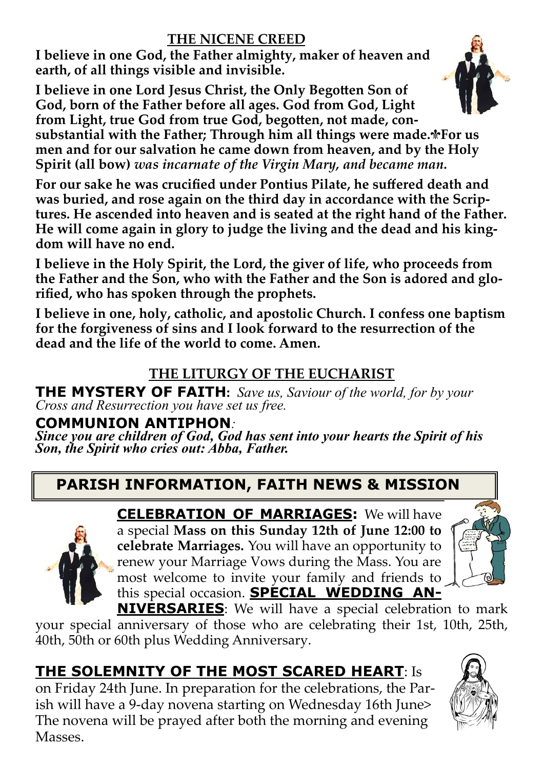## **THE NICENE CREED**

**I believe in one God, the Father almighty, maker of heaven and earth, of all things visible and invisible.**

**I believe in one Lord Jesus Christ, the Only Begotten Son of God, born of the Father before all ages. God from God, Light from Light, true God from true God, begotten, not made, con-**



**substantial with the Father; Through him all things were made.
For us men and for our salvation he came down from heaven, and by the Holy Spirit (all bow)** *was incarnate of the Virgin Mary, and became man.*

**For our sake he was crucified under Pontius Pilate, he suffered death and was buried, and rose again on the third day in accordance with the Scriptures. He ascended into heaven and is seated at the right hand of the Father. He will come again in glory to judge the living and the dead and his kingdom will have no end.**

**I believe in the Holy Spirit, the Lord, the giver of life, who proceeds from the Father and the Son, who with the Father and the Son is adored and glorified, who has spoken through the prophets.**

**I believe in one, holy, catholic, and apostolic Church. I confess one baptism for the forgiveness of sins and I look forward to the resurrection of the dead and the life of the world to come. Amen.**

## **THE LITURGY OF THE EUCHARIST**

**THE MYSTERY OF FAITH:** *Save us, Saviour of the world, for by your Cross and Resurrection you have set us free.* 

## **COMMUNION ANTIPHON***:*

*Since you are children of God, God has sent into your hearts the Spirit of his Son, the Spirit who cries out: Abba, Father.*

## **PARISH INFORMATION, FAITH NEWS & MISSION**



**CELEBRATION OF MARRIAGES:** We will have a special **Mass on this Sunday 12th of June 12:00 to celebrate Marriages.** You will have an opportunity to renew your Marriage Vows during the Mass. You are most welcome to invite your family and friends to this special occasion. **SPECIAL WEDDING AN-**



**NIVERSARIES**: We will have a special celebration to mark your special anniversary of those who are celebrating their 1st, 10th, 25th, 40th, 50th or 60th plus Wedding Anniversary.

## **THE SOLEMNITY OF THE MOST SCARED HEART**: Is

on Friday 24th June. In preparation for the celebrations, the Parish will have a 9-day novena starting on Wednesday 16th June> The novena will be prayed after both the morning and evening Masses.

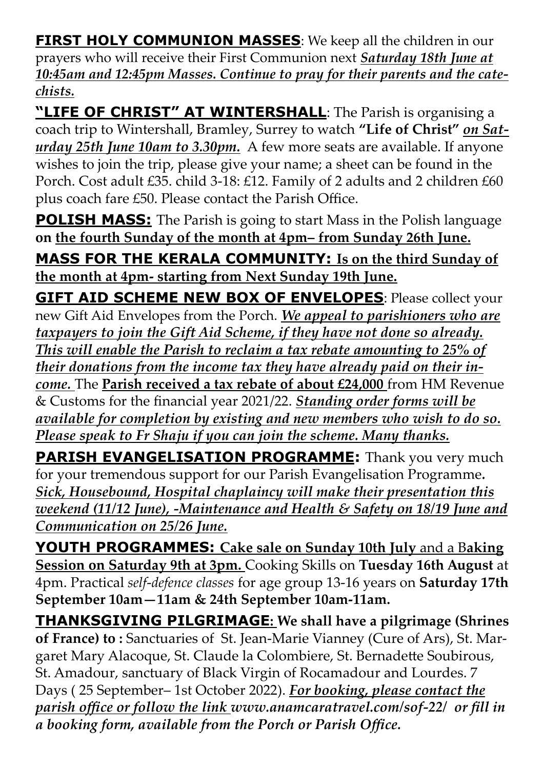**FIRST HOLY COMMUNION MASSES:** We keep all the children in our prayers who will receive their First Communion next *Saturday 18th June at 10:45am and 12:45pm Masses. Continue to pray for their parents and the catechists.* 

**"LIFE OF CHRIST" AT WINTERSHALL:** The Parish is organising a coach trip to Wintershall, Bramley, Surrey to watch **"Life of Christ"** *on Saturday 25th June 10am to 3.30pm.* A few more seats are available. If anyone wishes to join the trip, please give your name; a sheet can be found in the Porch. Cost adult £35. child 3-18: £12. Family of 2 adults and 2 children £60 plus coach fare £50. Please contact the Parish Office.

**POLISH MASS:** The Parish is going to start Mass in the Polish language **on the fourth Sunday of the month at 4pm– from Sunday 26th June.** 

**MASS FOR THE KERALA COMMUNITY: Is on the third Sunday of the month at 4pm- starting from Next Sunday 19th June.** 

**GIFT AID SCHEME NEW BOX OF ENVELOPES**: Please collect your new Gift Aid Envelopes from the Porch. *We appeal to parishioners who are taxpayers to join the Gift Aid Scheme, if they have not done so already. This will enable the Parish to reclaim a tax rebate amounting to 25% of their donations from the income tax they have already paid on their income.* The **Parish received a tax rebate of about £24,000** from HM Revenue & Customs for the financial year 2021/22. *Standing order forms will be available for completion by existing and new members who wish to do so. Please speak to Fr Shaju if you can join the scheme. Many thanks.*

**PARISH EVANGELISATION PROGRAMME:** Thank you very much for your tremendous support for our Parish Evangelisation Programme*. Sick, Housebound, Hospital chaplaincy will make their presentation this weekend (11/12 June), -Maintenance and Health & Safety on 18/19 June and Communication on 25/26 June.*

**YOUTH PROGRAMMES: Cake sale on Sunday 10th July** and a B**aking Session on Saturday 9th at 3pm.** Cooking Skills on **Tuesday 16th August** at 4pm. Practical *self*-*defence classes* for age group 13-16 years on **Saturday 17th September 10am—11am & 24th September 10am-11am.** 

**THANKSGIVING PILGRIMAGE: We shall have a pilgrimage (Shrines of France) to :** Sanctuaries of St. Jean-Marie Vianney (Cure of Ars), St. Margaret Mary Alacoque, St. Claude la Colombiere, St. Bernadette Soubirous, St. Amadour, sanctuary of Black Virgin of Rocamadour and Lourdes. 7 Days ( 25 September– 1st October 2022). *For booking, please contact the parish office or follow the link www.anamcaratravel.com/sof-22/ or fill in a booking form, available from the Porch or Parish Office.*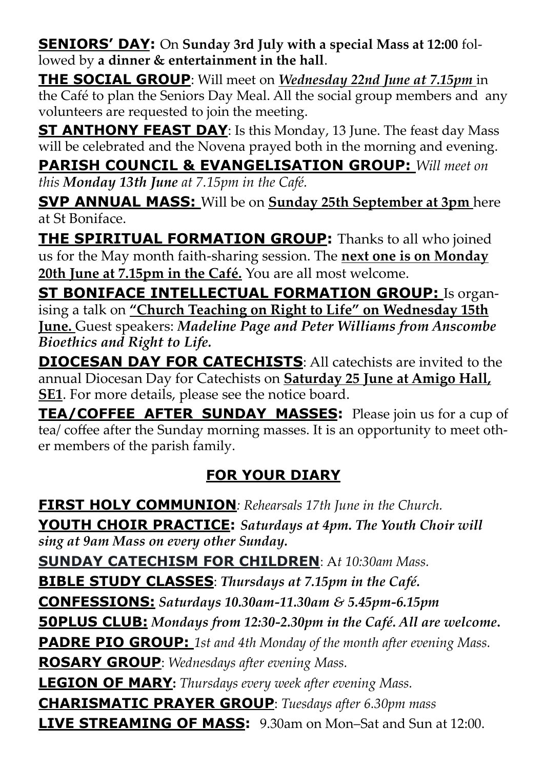**SENIORS' DAY:** On **Sunday 3rd July with a special Mass at 12:00** followed by **a dinner & entertainment in the hall**.

**THE SOCIAL GROUP**: Will meet on *Wednesday 22nd June at 7.15pm* in the Café to plan the Seniors Day Meal. All the social group members and any volunteers are requested to join the meeting.

**ST ANTHONY FEAST DAY:** Is this Monday, 13 June. The feast day Mass will be celebrated and the Novena prayed both in the morning and evening.

**PARISH COUNCIL & EVANGELISATION GROUP:** *Will meet on this Monday 13th June at 7.15pm in the Café.*

**SVP ANNUAL MASS:** Will be on **Sunday 25th September at 3pm** here at St Boniface.

**THE SPIRITUAL FORMATION GROUP:** Thanks to all who joined us for the May month faith-sharing session. The **next one is on Monday 20th June at 7.15pm in the Café.** You are all most welcome.

**ST BONIFACE INTELLECTUAL FORMATION GROUP:** Is organising a talk on **"Church Teaching on Right to Life" on Wednesday 15th June.** Guest speakers: *Madeline Page and Peter Williams from Anscombe Bioethics and Right to Life.*

**DIOCESAN DAY FOR CATECHISTS**: All catechists are invited to the annual Diocesan Day for Catechists on **Saturday 25 June at Amigo Hall, SE1**. For more details, please see the notice board.

**TEA/COFFEE AFTER SUNDAY MASSES:** Please join us for a cup of tea/ coffee after the Sunday morning masses. It is an opportunity to meet other members of the parish family.

## **FOR YOUR DIARY**

**FIRST HOLY COMMUNION***: Rehearsals 17th June in the Church.*  **YOUTH CHOIR PRACTICE:** *Saturdays at 4pm. The Youth Choir will sing at 9am Mass on every other Sunday.* **SUNDAY CATECHISM FOR CHILDREN**: A*t 10:30am Mass.*  **BIBLE STUDY CLASSES**: *Thursdays at 7.15pm in the Café.*  **CONFESSIONS:** *Saturdays 10.30am-11.30am & 5.45pm-6.15pm* **50PLUS CLUB:** *Mondays from 12:30-2.30pm in the Café. All are welcome***. PADRE PIO GROUP:** *1st and 4th Monday of the month after evening Mass.*  **ROSARY GROUP**: *Wednesdays after evening Mass.* **LEGION OF MARY:** *Thursdays every week after evening Mass.* **CHARISMATIC PRAYER GROUP**: *Tuesdays after 6.30pm mass* **LIVE STREAMING OF MASS:** 9.30am on Mon–Sat and Sun at 12:00.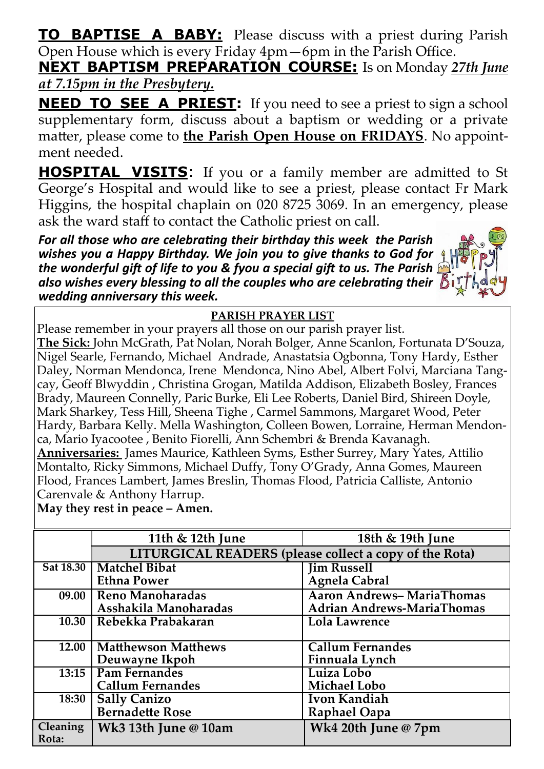**TO BAPTISE A BABY:** Please discuss with a priest during Parish Open House which is every Friday 4pm—6pm in the Parish Office.

**NEXT BAPTISM PREPARATION COURSE:** Is on Monday *27th June at 7.15pm in the Presbytery.*

**NEED TO SEE A PRIEST:** If you need to see a priest to sign a school supplementary form, discuss about a baptism or wedding or a private matter, please come to **the Parish Open House on FRIDAYS**. No appointment needed.

**HOSPITAL VISITS:** If you or a family member are admitted to St George's Hospital and would like to see a priest, please contact Fr Mark Higgins, the hospital chaplain on 020 8725 3069. In an emergency, please ask the ward staff to contact the Catholic priest on call.

*For all those who are celebrating their birthday this week the Parish wishes you a Happy Birthday. We join you to give thanks to God for the wonderful gift of life to you & fyou a special gift to us. The Parish also wishes every blessing to all the couples who are celebrating their wedding anniversary this week.*

#### **PARISH PRAYER LIST**

Please remember in your prayers all those on our parish prayer list. **The Sick:** John McGrath, Pat Nolan, Norah Bolger, Anne Scanlon, Fortunata D'Souza, Nigel Searle, Fernando, Michael Andrade, Anastatsia Ogbonna, Tony Hardy, Esther Daley, Norman Mendonca, Irene Mendonca, Nino Abel, Albert Folvi, Marciana Tangcay, Geoff Blwyddin , Christina Grogan, Matilda Addison, Elizabeth Bosley, Frances Brady, Maureen Connelly, Paric Burke, Eli Lee Roberts, Daniel Bird, Shireen Doyle, Mark Sharkey, Tess Hill, Sheena Tighe , Carmel Sammons, Margaret Wood, Peter Hardy, Barbara Kelly. Mella Washington, Colleen Bowen, Lorraine, Herman Mendonca, Mario Iyacootee , Benito Fiorelli, Ann Schembri & Brenda Kavanagh. **Anniversaries:** James Maurice, Kathleen Syms, Esther Surrey, Mary Yates, Attilio Montalto, Ricky Simmons, Michael Duffy, Tony O'Grady, Anna Gomes, Maureen Flood, Frances Lambert, James Breslin, Thomas Flood, Patricia Calliste, Antonio Carenvale & Anthony Harrup.

**May they rest in peace – Amen.**

|                 | 11th & 12th June                                       | 18th & 19th June                  |
|-----------------|--------------------------------------------------------|-----------------------------------|
|                 | LITURGICAL READERS (please collect a copy of the Rota) |                                   |
| Sat 18.30       | <b>Matchel Bibat</b>                                   | <b>Jim Russell</b>                |
|                 | <b>Ethna Power</b>                                     | Agnela Cabral                     |
| 09.00           | Reno Manoharadas                                       | <b>Aaron Andrews-MariaThomas</b>  |
|                 | Asshakila Manoharadas                                  | <b>Adrian Andrews-MariaThomas</b> |
| 10.30           | Rebekka Prabakaran                                     | <b>Lola Lawrence</b>              |
|                 |                                                        |                                   |
| 12.00           | <b>Matthewson Matthews</b>                             | <b>Callum Fernandes</b>           |
|                 | Deuwayne Ikpoh                                         | Finnuala Lynch                    |
| 13:15           | <b>Pam Fernandes</b>                                   | Luiza Lobo                        |
|                 | <b>Callum Fernandes</b>                                | <b>Michael Lobo</b>               |
| 18:30           | <b>Sally Canizo</b>                                    | Ivon Kandiah                      |
|                 | <b>Bernadette Rose</b>                                 | Raphael Oapa                      |
| <b>Cleaning</b> | Wk3 13th June @ 10am                                   | Wk4 20th June @ 7pm               |
| Rota:           |                                                        |                                   |